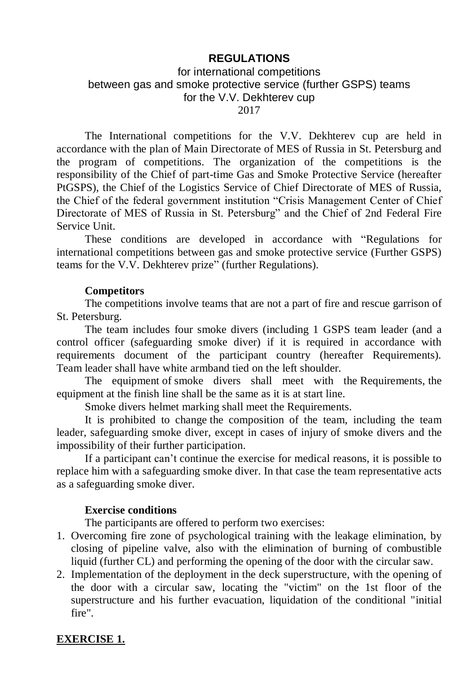# **REGULATIONS**

# for international competitions between gas and smoke protective service (further GSPS) teams for the V.V. Dekhterev cup 2017

The International competitions for the V.V. Dekhterev cup are held in accordance with the plan of Main Directorate of MES of Russia in St. Petersburg and the program of competitions. The organization of the competitions is the responsibility of the Chief of part-time Gas and Smoke Protective Service (hereafter PtGSPS), the Chief of the Logistics Service of Chief Directorate of MES of Russia, the Chief of the federal government institution "Crisis Management Center of Chief Directorate of MES of Russia in St. Petersburg" and the Chief of 2nd Federal Fire Service Unit.

These conditions are developed in accordance with "Regulations for international competitions between gas and smoke protective service (Further GSPS) teams for the V.V. Dekhterev prize" (further Regulations).

### **Competitors**

The competitions involve teams that are not a part of fire and rescue garrison of St. Petersburg.

The team includes four smoke divers (including 1 GSPS team leader (and a control officer (safeguarding smoke diver) if it is required in accordance with requirements document of the participant country (hereafter Requirements). Team leader shall have white armband tied on the left shoulder.

The equipment of smoke divers shall meet with the Requirements, the equipment at the finish line shall be the same as it is at start line.

Smoke divers helmet marking shall meet the Requirements.

It is prohibited to change the composition of the team, including the team leader, safeguarding smoke diver, except in cases of injury of smoke divers and the impossibility of their further participation.

If a participant can't continue the exercise for medical reasons, it is possible to replace him with a safeguarding smoke diver. In that case the team representative acts as a safeguarding smoke diver.

#### **Exercise conditions**

The participants are offered to perform two exercises:

- 1. Overcoming fire zone of psychological training with the leakage elimination, by closing of pipeline valve, also with the elimination of burning of combustible liquid (further CL) and performing the opening of the door with the circular saw.
- 2. Implementation of the deployment in the deck superstructure, with the opening of the door with a circular saw, locating the "victim" on the 1st floor of the superstructure and his further evacuation, liquidation of the conditional "initial fire".

# **EXERCISE 1.**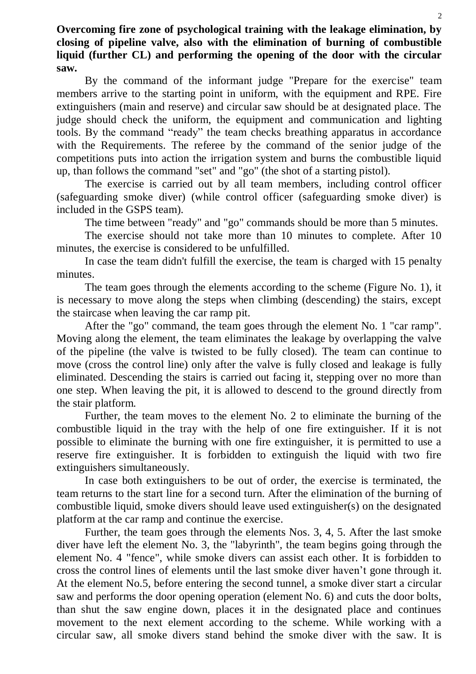**Overcoming fire zone of psychological training with the leakage elimination, by closing of pipeline valve, also with the elimination of burning of combustible liquid (further CL) and performing the opening of the door with the circular saw.**

By the command of the informant judge "Prepare for the exercise" team members arrive to the starting point in uniform, with the equipment and RPE. Fire extinguishers (main and reserve) and circular saw should be at designated place. The judge should check the uniform, the equipment and communication and lighting tools. By the command "ready" the team checks breathing apparatus in accordance with the Requirements. The referee by the command of the senior judge of the competitions puts into action the irrigation system and burns the combustible liquid up, than follows the command "set" and "go" (the shot of a starting pistol).

The exercise is carried out by all team members, including control officer (safeguarding smoke diver) (while control officer (safeguarding smoke diver) is included in the GSPS team).

The time between "ready" and "go" commands should be more than 5 minutes.

The exercise should not take more than 10 minutes to complete. After 10 minutes, the exercise is considered to be unfulfilled.

In case the team didn't fulfill the exercise, the team is charged with 15 penalty minutes.

The team goes through the elements according to the scheme (Figure No. 1), it is necessary to move along the steps when climbing (descending) the stairs, except the staircase when leaving the car ramp pit.

After the "go" command, the team goes through the element No. 1 "car ramp". Moving along the element, the team eliminates the leakage by overlapping the valve of the pipeline (the valve is twisted to be fully closed). The team can continue to move (cross the control line) only after the valve is fully closed and leakage is fully eliminated. Descending the stairs is carried out facing it, stepping over no more than one step. When leaving the pit, it is allowed to descend to the ground directly from the stair platform.

Further, the team moves to the element No. 2 to eliminate the burning of the combustible liquid in the tray with the help of one fire extinguisher. If it is not possible to eliminate the burning with one fire extinguisher, it is permitted to use a reserve fire extinguisher. It is forbidden to extinguish the liquid with two fire extinguishers simultaneously.

In case both extinguishers to be out of order, the exercise is terminated, the team returns to the start line for a second turn. After the elimination of the burning of combustible liquid, smoke divers should leave used extinguisher(s) on the designated platform at the car ramp and continue the exercise.

Further, the team goes through the elements Nos. 3, 4, 5. After the last smoke diver have left the element No. 3, the "labyrinth", the team begins going through the element No. 4 "fence", while smoke divers can assist each other. It is forbidden to cross the control lines of elements until the last smoke diver haven't gone through it. At the element No.5, before entering the second tunnel, a smoke diver start a circular saw and performs the door opening operation (element No. 6) and cuts the door bolts, than shut the saw engine down, places it in the designated place and continues movement to the next element according to the scheme. While working with a circular saw, all smoke divers stand behind the smoke diver with the saw. It is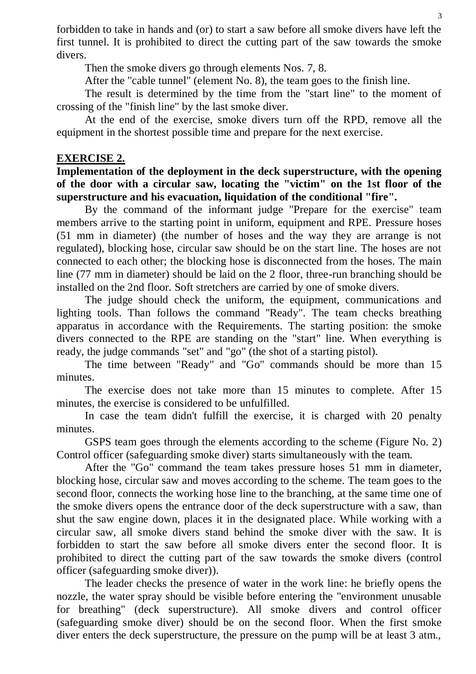forbidden to take in hands and (or) to start a saw before all smoke divers have left the first tunnel. It is prohibited to direct the cutting part of the saw towards the smoke divers.

Then the smoke divers go through elements Nos. 7, 8.

After the "cable tunnel" (element No. 8), the team goes to the finish line.

The result is determined by the time from the "start line" to the moment of crossing of the "finish line" by the last smoke diver.

At the end of the exercise, smoke divers turn off the RPD, remove all the equipment in the shortest possible time and prepare for the next exercise.

### **EXERCISE 2.**

## **Implementation of the deployment in the deck superstructure, with the opening of the door with a circular saw, locating the "victim" on the 1st floor of the superstructure and his evacuation, liquidation of the conditional "fire".**

By the command of the informant judge "Prepare for the exercise" team members arrive to the starting point in uniform, equipment and RPE. Pressure hoses (51 mm in diameter) (the number of hoses and the way they are arrange is not regulated), blocking hose, circular saw should be on the start line. The hoses are not connected to each other; the blocking hose is disconnected from the hoses. The main line (77 mm in diameter) should be laid on the 2 floor, three-run branching should be installed on the 2nd floor. Soft stretchers are carried by one of smoke divers.

The judge should check the uniform, the equipment, communications and lighting tools. Than follows the command ''Ready". The team checks breathing apparatus in accordance with the Requirements. The starting position: the smoke divers connected to the RPE are standing on the "start" line. When everything is ready, the judge commands "set" and "go" (the shot of a starting pistol).

The time between "Ready" and "Go" commands should be more than 15 minutes.

The exercise does not take more than 15 minutes to complete. After 15 minutes, the exercise is considered to be unfulfilled.

In case the team didn't fulfill the exercise, it is charged with 20 penalty minutes.

GSPS team goes through the elements according to the scheme (Figure No. 2) Control officer (safeguarding smoke diver) starts simultaneously with the team.

After the "Go" command the team takes pressure hoses 51 mm in diameter, blocking hose, circular saw and moves according to the scheme. The team goes to the second floor, connects the working hose line to the branching, at the same time one of the smoke divers opens the entrance door of the deck superstructure with a saw, than shut the saw engine down, places it in the designated place. While working with a circular saw, all smoke divers stand behind the smoke diver with the saw. It is forbidden to start the saw before all smoke divers enter the second floor. It is prohibited to direct the cutting part of the saw towards the smoke divers (control officer (safeguarding smoke diver)).

The leader checks the presence of water in the work line: he briefly opens the nozzle, the water spray should be visible before entering the "environment unusable for breathing" (deck superstructure). All smoke divers and control officer (safeguarding smoke diver) should be on the second floor. When the first smoke diver enters the deck superstructure, the pressure on the pump will be at least 3 atm.,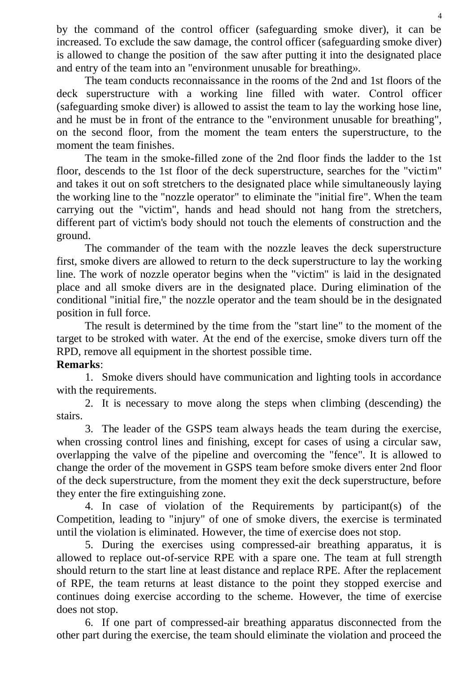by the command of the control officer (safeguarding smoke diver), it can be increased. To exclude the saw damage, the control officer (safeguarding smoke diver) is allowed to change the position of the saw after putting it into the designated place and entry of the team into an "environment unusable for breathing».

The team conducts reconnaissance in the rooms of the 2nd and 1st floors of the deck superstructure with a working line filled with water. Сontrol officer (safeguarding smoke diver) is allowed to assist the team to lay the working hose line, and he must be in front of the entrance to the "environment unusable for breathing", on the second floor, from the moment the team enters the superstructure, to the moment the team finishes.

The team in the smoke-filled zone of the 2nd floor finds the ladder to the 1st floor, descends to the 1st floor of the deck superstructure, searches for the "victim" and takes it out on soft stretchers to the designated place while simultaneously laying the working line to the "nozzle operator" to eliminate the "initial fire". When the team carrying out the "victim", hands and head should not hang from the stretchers, different part of victim's body should not touch the elements of construction and the ground.

The commander of the team with the nozzle leaves the deck superstructure first, smoke divers are allowed to return to the deck superstructure to lay the working line. The work of nozzle operator begins when the "victim" is laid in the designated place and all smoke divers are in the designated place. During elimination of the conditional "initial fire," the nozzle operator and the team should be in the designated position in full force.

The result is determined by the time from the "start line" to the moment of the target to be stroked with water. At the end of the exercise, smoke divers turn off the RPD, remove all equipment in the shortest possible time.

# **Remarks**:

1. Smoke divers should have communication and lighting tools in accordance with the requirements.

2. It is necessary to move along the steps when climbing (descending) the stairs.

3. The leader of the GSPS team always heads the team during the exercise, when crossing control lines and finishing, except for cases of using a circular saw, overlapping the valve of the pipeline and overcoming the "fence". It is allowed to change the order of the movement in GSPS team before smoke divers enter 2nd floor of the deck superstructure, from the moment they exit the deck superstructure, before they enter the fire extinguishing zone.

4. In case of violation of the Requirements by participant(s) of the Competition, leading to "injury" of one of smoke divers, the exercise is terminated until the violation is eliminated. However, the time of exercise does not stop.

5. During the exercises using compressed-air breathing apparatus, it is allowed to replace out-of-service RPE with a spare one. The team at full strength should return to the start line at least distance and replace RPE. After the replacement of RPE, the team returns at least distance to the point they stopped exercise and continues doing exercise according to the scheme. However, the time of exercise does not stop.

6. If one part of compressed-air breathing apparatus disconnected from the other part during the exercise, the team should eliminate the violation and proceed the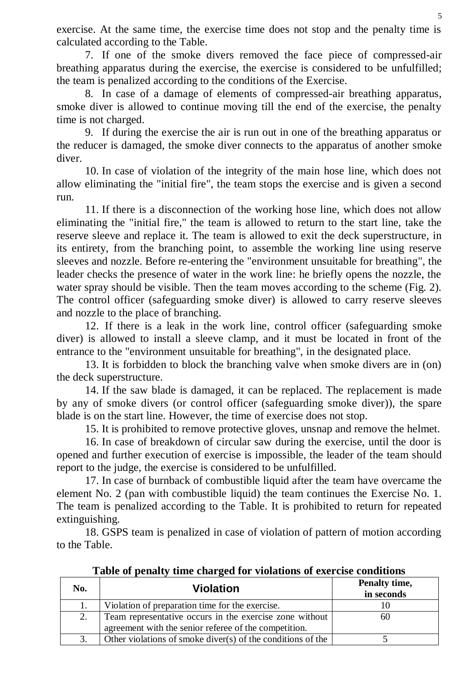exercise. At the same time, the exercise time does not stop and the penalty time is calculated according to the Table.

7. If one of the smoke divers removed the face piece of compressed-air breathing apparatus during the exercise, the exercise is considered to be unfulfilled; the team is penalized according to the conditions of the Exercise.

8. In case of a damage of elements of compressed-air breathing apparatus, smoke diver is allowed to continue moving till the end of the exercise, the penalty time is not charged.

9. If during the exercise the air is run out in one of the breathing apparatus or the reducer is damaged, the smoke diver connects to the apparatus of another smoke diver.

10. In case of violation of the integrity of the main hose line, which does not allow eliminating the "initial fire", the team stops the exercise and is given a second run.

11. If there is a disconnection of the working hose line, which does not allow eliminating the "initial fire," the team is allowed to return to the start line, take the reserve sleeve and replace it. The team is allowed to exit the deck superstructure, in its entirety, from the branching point, to assemble the working line using reserve sleeves and nozzle. Before re-entering the "environment unsuitable for breathing", the leader checks the presence of water in the work line: he briefly opens the nozzle, the water spray should be visible. Then the team moves according to the scheme (Fig. 2). The control officer (safeguarding smoke diver) is allowed to carry reserve sleeves and nozzle to the place of branching.

12. If there is a leak in the work line, control officer (safeguarding smoke diver) is allowed to install a sleeve clamp, and it must be located in front of the entrance to the "environment unsuitable for breathing", in the designated place.

13. It is forbidden to block the branching valve when smoke divers are in (on) the deck superstructure.

14. If the saw blade is damaged, it can be replaced. The replacement is made by any of smoke divers (or control officer (safeguarding smoke diver)), the spare blade is on the start line. However, the time of exercise does not stop.

15. It is prohibited to remove protective gloves, unsnap and remove the helmet.

16. In case of breakdown of circular saw during the exercise, until the door is opened and further execution of exercise is impossible, the leader of the team should report to the judge, the exercise is considered to be unfulfilled.

17. In case of burnback of combustible liquid after the team have overcame the element No. 2 (pan with combustible liquid) the team continues the Exercise No. 1. The team is penalized according to the Table. It is prohibited to return for repeated extinguishing.

18. GSPS team is penalized in case of violation of pattern of motion according to the Table.

| No. | <b>Violation</b>                                            | Penalty time,<br>in seconds |
|-----|-------------------------------------------------------------|-----------------------------|
|     | Violation of preparation time for the exercise.             |                             |
| 2.  | Team representative occurs in the exercise zone without     | 60                          |
|     | agreement with the senior referee of the competition.       |                             |
|     | Other violations of smoke diver(s) of the conditions of the |                             |

**Table of penalty time charged for violations of exercise conditions**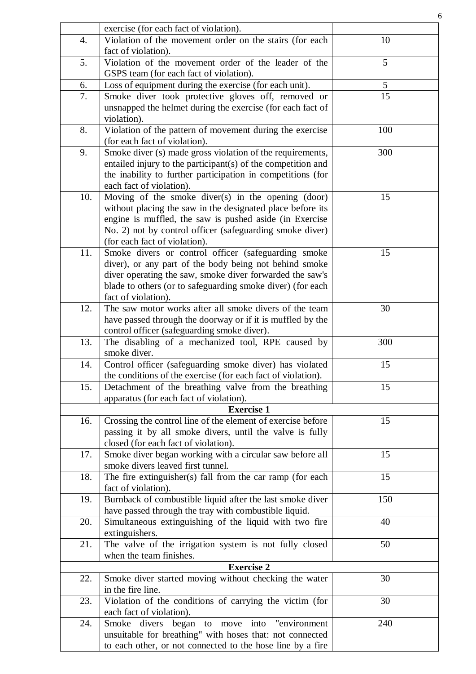|     | exercise (for each fact of violation).                       |     |
|-----|--------------------------------------------------------------|-----|
| 4.  | Violation of the movement order on the stairs (for each      | 10  |
|     | fact of violation).                                          |     |
| 5.  | Violation of the movement order of the leader of the         | 5   |
|     | GSPS team (for each fact of violation).                      |     |
| 6.  | Loss of equipment during the exercise (for each unit).       | 5   |
| 7.  | Smoke diver took protective gloves off, removed or           | 15  |
|     | unsnapped the helmet during the exercise (for each fact of   |     |
|     | violation).                                                  |     |
| 8.  | Violation of the pattern of movement during the exercise     | 100 |
|     | (for each fact of violation).                                |     |
| 9.  | Smoke diver (s) made gross violation of the requirements,    | 300 |
|     | entailed injury to the participant(s) of the competition and |     |
|     | the inability to further participation in competitions (for  |     |
|     | each fact of violation).                                     |     |
| 10. | Moving of the smoke diver(s) in the opening (door)           | 15  |
|     | without placing the saw in the designated place before its   |     |
|     | engine is muffled, the saw is pushed aside (in Exercise      |     |
|     | No. 2) not by control officer (safeguarding smoke diver)     |     |
|     | (for each fact of violation).                                |     |
| 11. | Smoke divers or control officer (safeguarding smoke          | 15  |
|     | diver), or any part of the body being not behind smoke       |     |
|     | diver operating the saw, smoke diver forwarded the saw's     |     |
|     | blade to others (or to safeguarding smoke diver) (for each   |     |
|     | fact of violation).                                          |     |
| 12. | The saw motor works after all smoke divers of the team       | 30  |
|     | have passed through the doorway or if it is muffled by the   |     |
|     | control officer (safeguarding smoke diver).                  |     |
| 13. | The disabling of a mechanized tool, RPE caused by            | 300 |
|     | smoke diver.                                                 |     |
| 14. | Control officer (safeguarding smoke diver) has violated      | 15  |
|     | the conditions of the exercise (for each fact of violation). |     |
| 15. | Detachment of the breathing valve from the breathing         | 15  |
|     | apparatus (for each fact of violation).                      |     |
|     | <b>Exercise 1</b>                                            |     |
| 16. | Crossing the control line of the element of exercise before  | 15  |
|     | passing it by all smoke divers, until the valve is fully     |     |
|     | closed (for each fact of violation).                         |     |
| 17. | Smoke diver began working with a circular saw before all     | 15  |
|     | smoke divers leaved first tunnel.                            |     |
| 18. | The fire extinguisher(s) fall from the car ramp (for each    | 15  |
|     | fact of violation).                                          |     |
| 19. | Burnback of combustible liquid after the last smoke diver    | 150 |
|     | have passed through the tray with combustible liquid.        |     |
| 20. | Simultaneous extinguishing of the liquid with two fire       | 40  |
|     | extinguishers.                                               |     |
| 21. | The valve of the irrigation system is not fully closed       | 50  |
|     | when the team finishes.                                      |     |
|     | <b>Exercise 2</b>                                            |     |
| 22. | Smoke diver started moving without checking the water        | 30  |
|     | in the fire line.                                            |     |
| 23. | Violation of the conditions of carrying the victim (for      | 30  |
|     | each fact of violation).                                     |     |
| 24. | to move into "environment<br>Smoke divers began              | 240 |
|     | unsuitable for breathing" with hoses that: not connected     |     |
|     | to each other, or not connected to the hose line by a fire   |     |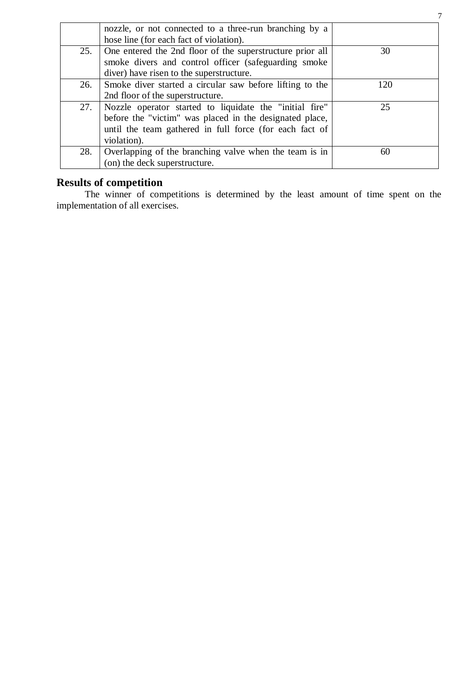|     | nozzle, or not connected to a three-run branching by a    |     |
|-----|-----------------------------------------------------------|-----|
|     | hose line (for each fact of violation).                   |     |
| 25. | One entered the 2nd floor of the superstructure prior all | 30  |
|     | smoke divers and control officer (safeguarding smoke      |     |
|     | diver) have risen to the superstructure.                  |     |
| 26. | Smoke diver started a circular saw before lifting to the  | 120 |
|     | 2nd floor of the superstructure.                          |     |
| 27. | Nozzle operator started to liquidate the "initial fire"   | 25  |
|     | before the "victim" was placed in the designated place,   |     |
|     | until the team gathered in full force (for each fact of   |     |
|     | violation).                                               |     |
| 28. | Overlapping of the branching valve when the team is in    | 60  |
|     | (on) the deck superstructure.                             |     |

#### **Results of competition**

The winner of competitions is determined by the least amount of time spent on the implementation of all exercises.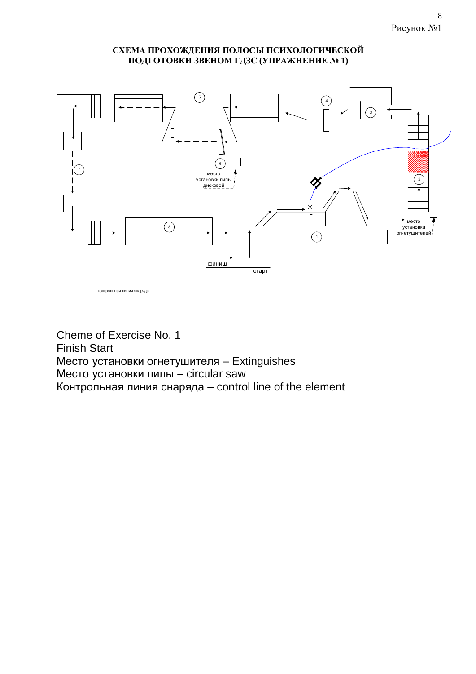#### **СХЕМА ПРОХОЖДЕНИЯ ПОЛОСЫ ПСИХОЛОГИЧЕСКОЙ ПОДГОТОВКИ ЗВЕНОМ ГДЗС (УПРАЖНЕНИЕ № 1)**



- контрольная линия снаряда

Cheme of Exercise No. 1 Finish Start Место установки огнетушителя – Extinguishes Место установки пилы – circular saw Контрольная линия снаряда – control line of the element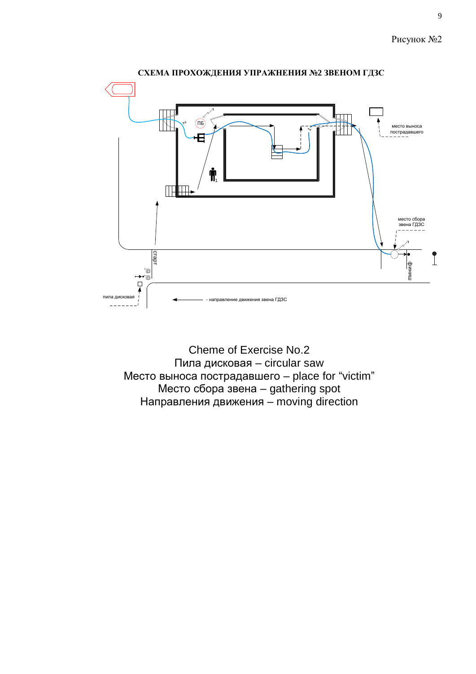

Cheme of Exercise No.2 Пила дисковая – circular saw Место выноса пострадавшего – place for "victim" Место сбора звена – gathering spot Направления движения – moving direction